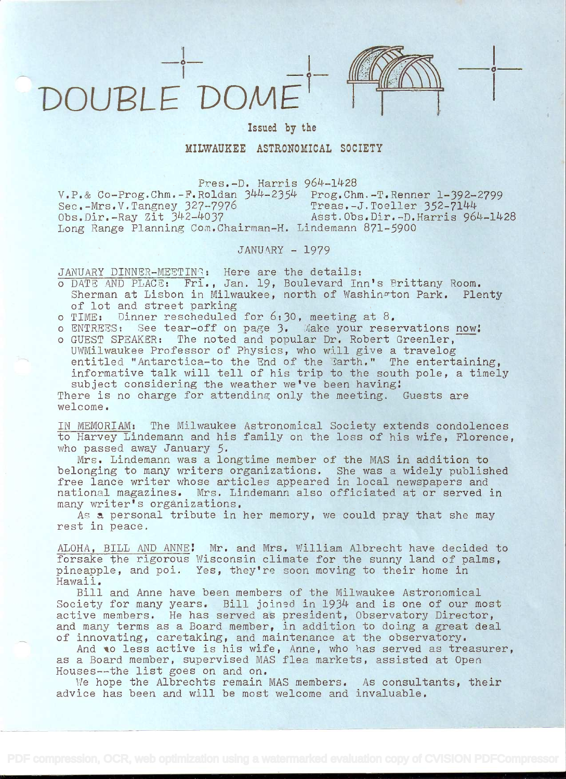



i kacamatan ing Kabupatén Kabupatén Kabupatén Kabupatén Kabupatén Kabupatén Kabupatén Kabupatén Kabupatén Kabu

Issued by the

## MILWAUKEE ASTRONOMICAL SOCIETY

Pres.-D. Harris  $V.P.$ & Co-Prog.Chm.-F.Roldan  $344-2354$  Prog.Chm.-T.Renner 1-392-2799<br>Sec.-Mrs.V.Tangney 327-7976 Treas.-J.Toeller 352-7144 Sec.-Mrs.V.Tangney 327-7976 Treas.-J.Toeller 352-7144  $\overline{Obs.Dir.}$ -Ray Zit  $342-4037$  Asst.Obs.Dir.-D.Harris 964-1428 Long Range Planning Coai.Chairrnan-H. Lindemann 871-5900

## JANUARY - 1979

JANUARY DINNER-MEETING: Here are the details:

- <sup>o</sup>DATE AND PLACE: Fri., Jan. 19, Boulevard Inn's Brittany Room. Sherman at Lisbon in Milwaukee, north of Washin&ton Park. Plenty of lot and street parking
- o TIME: Dinner rescheduled for 6:30, meeting at 8.
- o ENTREES: See tear-off on page 3. Make your reservations now!
- o GUEST SPEAKER: The noted and popular Dr. Robert Greenler,<br>UWMilwaukee Professor of Physics, who will give a travelog entitled "Antarctica-to the End of the Earth." The entertaining,<br>informative talk will tell of his trip to the south pole, a timely<br>subject considering the weather we've been having:<br>There is no charge for attending only t

welcome.

IN MEMORIAM: The Milwaukee Astronomical Society extends condolences to Harvey Lindemann and his family on the loss of his wife, Florence, who passed away January 5.

Mrs. Lindemann was a longtime member of the MAS in addition to<br>belonging to many writers organizations. She was a widely published free lance writer whose articles appeared in local newspapers and national magazines. Mrs. Lindemann also officiated at or served in many writer's organizations.

As a personal tribute in her memory, we could pray that she may rest in peace.

ALOHA, BILL AND ANNE! Mr. and Mrs. William Albrecht have decided to forsake the rigorous Wisconsin climate for the sunny land of palms. pineapple, and poi. Yes, they're soon moving to their home in<br>Hawaii.

Bill and Anne have been members of the Milwaukee Astronomical Society for many years. Bill joined in 1934 and is one of our most society for many years. Bill yourse in 1991 and 18 che of our most and many terms as a Board member, in addition to doing a great deal of innovating, caretaking, and maintenance at the observatory.

And to less active is his wife, Anne, who has served as treasurer, as a Board member, supervised MAS flea markets, assisted at Open Houses--the list goes on and on.

We hope the Albrechts remain MAS members. As consultants, their advice has been and will be most welcome and invaluable.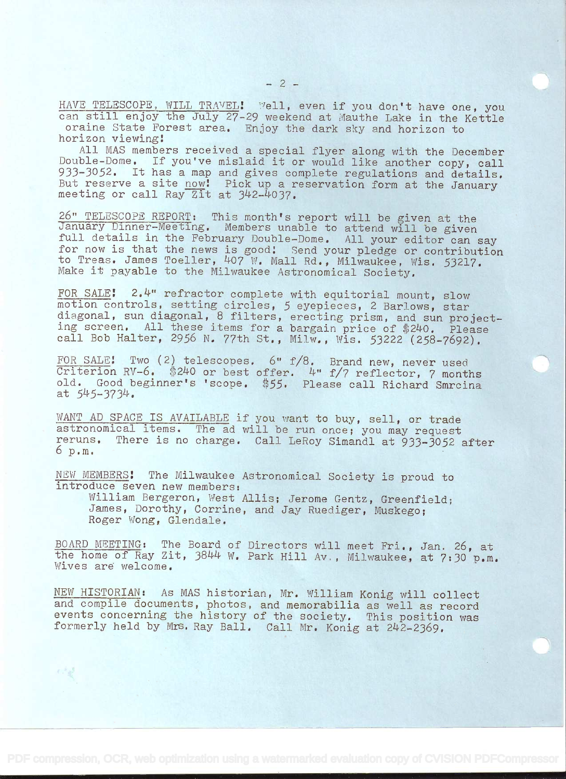HAVE TELESCOPE, WILL TRAVEL! Well, even if you don't have one, you can still enjoy the July 27-29 weekend at Mauthe Lake in the Kettle oraine State Forest area. Enjoy the dark sky and horizon to

horizon viewing!<br>All MAS members received a special flyer along with the December<br>Double-Dome. If you've mislaid it or would like another copy, call<br>933-3052. It has a map and gives complete regulations and details. But reserve a site now! Pick up a reservation form at the January meeting or call Ray Zit at  $342-4037$ .

26" TELESCOPE REPORT: This month's report will be given at the<br>January Dinner-Meeting. Members unable to attend will be given<br>full details in the February Double-Dome. All your editor can say<br>for now is that the news is go Make it payable to the Milwaukee Astronomical Society.

FOR SALE: 2.4" refractor complete with equitorial mount, slow<br>motion controls, setting circles, 5 eyepieces, 2 Barlows, star<br>diagonal, sun diagonal, 8 filters, erecting prism, and sun project-<br>ing screen. All these items f

FOR SALE: Two (2) telescopes. 6" f/8. Brand new, never used Criterion RV-6. \$240 or best offer. 4" f/7 reflector, 7 months old. Good beginner's 'scope. \$55. Please call Richard Smrcina at  $545-3734$ .

WANT AD SPACE IS AVAILABLE if you want to buy, sell, or trade astronomical items. The ad will be run once; you may request reruns. There is no charge. Call LeRoy Simandl at 933-3052 after 6 p.m.

NEW MEMBERS! The Milwaukee Astronomical Society is proud to introduce seven new members:

William Bergeron, West Allis; Jerome Gentz, Greenfield;<br>James, Dorothy, Corrine, and Jay Ruediger, Muskego;<br>Roger Wong, Glendale.

BOARD MEETING: The Board of Directors will meet Fri., Jan. 26, at the home of Ray Zit, 3844 W. Park Hill Av., Milwaukee, at 7:30 p.m. Wives are welcome.

NEW HISTORIAN: As MAS historian, Mr. William Konig will collect<br>and compile documents, photos, and memorabilia as well as record<br>events concerning the history of the society. This position was<br>formerly held by Mrs. Ray Bal